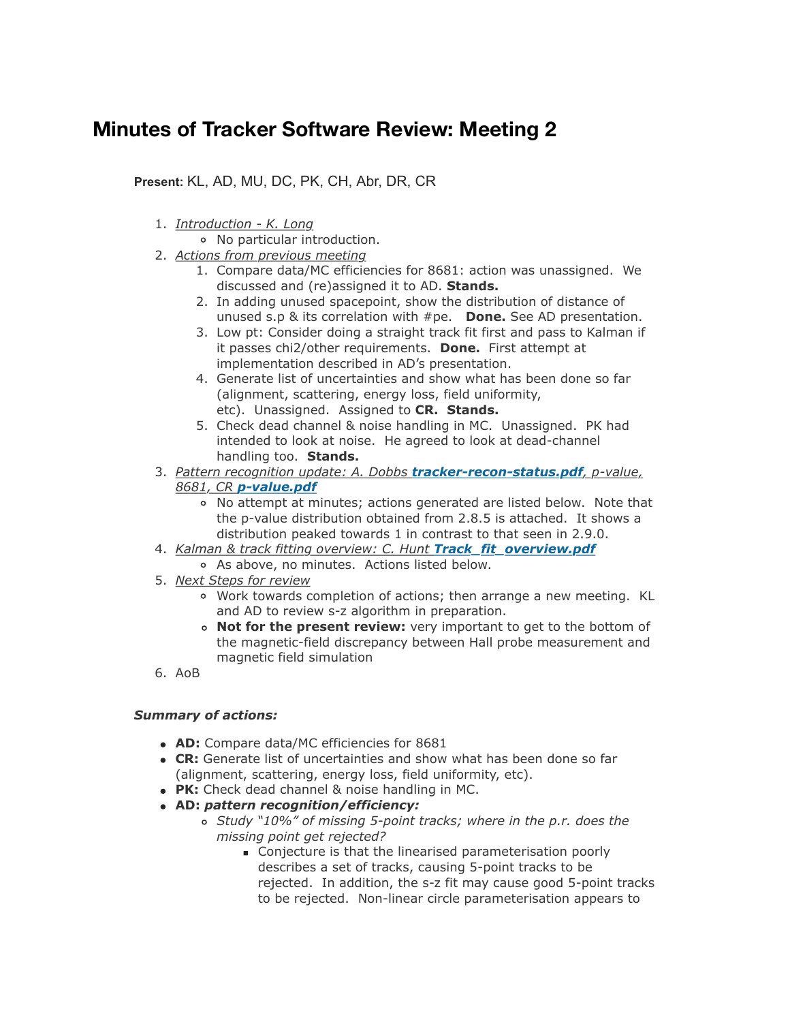## **Minutes of Tracker Software Review: Meeting 2**

**Present:** KL, AD, MU, DC, PK, CH, Abr, DR, CR

- 1. *Introduction K. Long*
	- No particular introduction.
- 2. *Actions from previous meeting*
	- 1. Compare data/MC efficiencies for 8681: action was unassigned. We discussed and (re)assigned it to AD. **Stands.**
	- 2. In adding unused spacepoint, show the distribution of distance of unused s.p & its correlation with #pe. **Done.** See AD presentation.
	- 3. Low pt: Consider doing a straight track fit first and pass to Kalman if it passes chi2/other requirements. **Done.** First attempt at implementation described in AD's presentation.
	- 4. Generate list of uncertainties and show what has been done so far (alignment, scattering, energy loss, field uniformity, etc). Unassigned. Assigned to **CR. Stands.**
	- 5. Check dead channel & noise handling in MC. Unassigned. PK had intended to look at noise. He agreed to look at dead-channel handling too. **Stands.**
- 3. *Pattern recognition update: A. Dobbs [tracker-recon-status.pdf](https://micewww.pp.rl.ac.uk/attachments/download/8943/tracker-recon-status.pdf), p-value, 8681, CR [p-value.pdf](https://micewww.pp.rl.ac.uk/attachments/download/8945/p-value.pdf)*
	- No attempt at minutes; actions generated are listed below. Note that the p-value distribution obtained from 2.8.5 is attached. It shows a distribution peaked towards 1 in contrast to that seen in 2.9.0.
- 4. *Kalman & track fitting overview: C. Hunt [Track\\_fit\\_overview.pdf](https://micewww.pp.rl.ac.uk/attachments/download/8944/Track_fit_overview.pdf)*
	- As above, no minutes. Actions listed below.
- 5. *Next Steps for review*
	- Work towards completion of actions; then arrange a new meeting. KL and AD to review s-z algorithm in preparation.
	- **Not for the present review:** very important to get to the bottom of the magnetic-field discrepancy between Hall probe measurement and magnetic field simulation
- 6. AoB

## *Summary of actions:*

- **AD:** Compare data/MC efficiencies for 8681
- **CR:** Generate list of uncertainties and show what has been done so far (alignment, scattering, energy loss, field uniformity, etc).
- **PK:** Check dead channel & noise handling in MC.
- **AD:** *pattern recognition/efficiency:*
	- *Study "10%" of missing 5-point tracks; where in the p.r. does the missing point get rejected?*
		- Conjecture is that the linearised parameterisation poorly describes a set of tracks, causing 5-point tracks to be rejected. In addition, the s-z fit may cause good 5-point tracks to be rejected. Non-linear circle parameterisation appears to